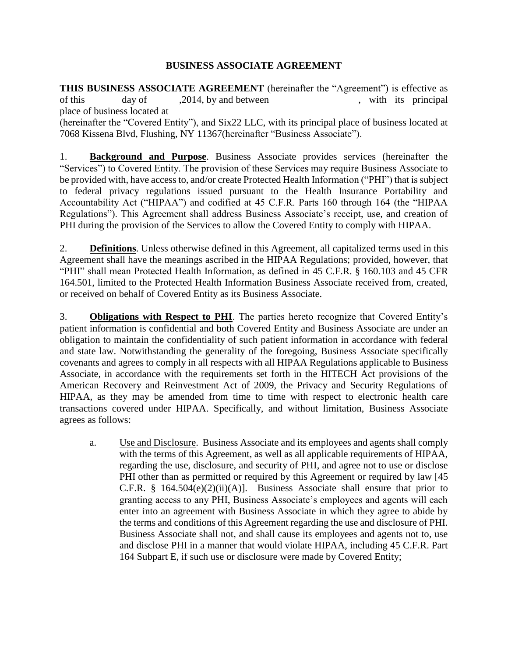### **BUSINESS ASSOCIATE AGREEMENT**

**THIS BUSINESS ASSOCIATE AGREEMENT** (hereinafter the "Agreement") is effective as of this day of ,2014, by and between , with its principal place of business located at (hereinafter the "Covered Entity"), and Six22 LLC, with its principal place of business located at 7068 Kissena Blvd, Flushing, NY 11367(hereinafter "Business Associate").

1. **Background and Purpose**. Business Associate provides services (hereinafter the "Services") to Covered Entity. The provision of these Services may require Business Associate to be provided with, have access to, and/or create Protected Health Information ("PHI") that is subject to federal privacy regulations issued pursuant to the Health Insurance Portability and Accountability Act ("HIPAA") and codified at 45 C.F.R. Parts 160 through 164 (the "HIPAA Regulations"). This Agreement shall address Business Associate's receipt, use, and creation of PHI during the provision of the Services to allow the Covered Entity to comply with HIPAA.

2. **Definitions**. Unless otherwise defined in this Agreement, all capitalized terms used in this Agreement shall have the meanings ascribed in the HIPAA Regulations; provided, however, that "PHI" shall mean Protected Health Information, as defined in 45 C.F.R. § 160.103 and 45 CFR 164.501, limited to the Protected Health Information Business Associate received from, created, or received on behalf of Covered Entity as its Business Associate.

3. **Obligations with Respect to PHI**. The parties hereto recognize that Covered Entity's patient information is confidential and both Covered Entity and Business Associate are under an obligation to maintain the confidentiality of such patient information in accordance with federal and state law. Notwithstanding the generality of the foregoing, Business Associate specifically covenants and agrees to comply in all respects with all HIPAA Regulations applicable to Business Associate, in accordance with the requirements set forth in the HITECH Act provisions of the American Recovery and Reinvestment Act of 2009, the Privacy and Security Regulations of HIPAA, as they may be amended from time to time with respect to electronic health care transactions covered under HIPAA. Specifically, and without limitation, Business Associate agrees as follows:

a. Use and Disclosure. Business Associate and its employees and agents shall comply with the terms of this Agreement, as well as all applicable requirements of HIPAA, regarding the use, disclosure, and security of PHI, and agree not to use or disclose PHI other than as permitted or required by this Agreement or required by law [45] C.F.R. §  $164.504(e)(2)(ii)(A)$ ]. Business Associate shall ensure that prior to granting access to any PHI, Business Associate's employees and agents will each enter into an agreement with Business Associate in which they agree to abide by the terms and conditions of this Agreement regarding the use and disclosure of PHI. Business Associate shall not, and shall cause its employees and agents not to, use and disclose PHI in a manner that would violate HIPAA, including 45 C.F.R. Part 164 Subpart E, if such use or disclosure were made by Covered Entity;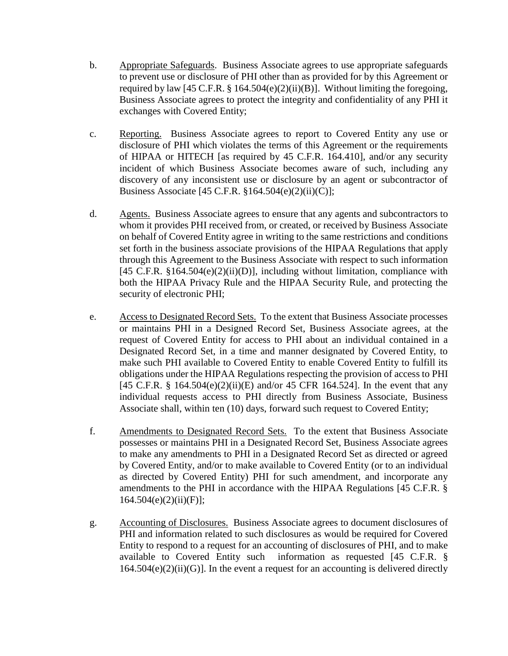- b. Appropriate Safeguards. Business Associate agrees to use appropriate safeguards to prevent use or disclosure of PHI other than as provided for by this Agreement or required by law [45 C.F.R.  $\S$  164.504(e)(2)(ii)(B)]. Without limiting the foregoing, Business Associate agrees to protect the integrity and confidentiality of any PHI it exchanges with Covered Entity;
- c. Reporting. Business Associate agrees to report to Covered Entity any use or disclosure of PHI which violates the terms of this Agreement or the requirements of HIPAA or HITECH [as required by 45 C.F.R. 164.410], and/or any security incident of which Business Associate becomes aware of such, including any discovery of any inconsistent use or disclosure by an agent or subcontractor of Business Associate [45 C.F.R. §164.504(e)(2)(ii)(C)];
- d. Agents. Business Associate agrees to ensure that any agents and subcontractors to whom it provides PHI received from, or created, or received by Business Associate on behalf of Covered Entity agree in writing to the same restrictions and conditions set forth in the business associate provisions of the HIPAA Regulations that apply through this Agreement to the Business Associate with respect to such information [45 C.F.R.  $$164.504(e)(2)(ii)(D)$ ], including without limitation, compliance with both the HIPAA Privacy Rule and the HIPAA Security Rule, and protecting the security of electronic PHI;
- e. Access to Designated Record Sets. To the extent that Business Associate processes or maintains PHI in a Designed Record Set, Business Associate agrees, at the request of Covered Entity for access to PHI about an individual contained in a Designated Record Set, in a time and manner designated by Covered Entity, to make such PHI available to Covered Entity to enable Covered Entity to fulfill its obligations under the HIPAA Regulations respecting the provision of access to PHI [45 C.F.R. § 164.504(e)(2)(ii)(E) and/or 45 CFR 164.524]. In the event that any individual requests access to PHI directly from Business Associate, Business Associate shall, within ten (10) days, forward such request to Covered Entity;
- f. Amendments to Designated Record Sets. To the extent that Business Associate possesses or maintains PHI in a Designated Record Set, Business Associate agrees to make any amendments to PHI in a Designated Record Set as directed or agreed by Covered Entity, and/or to make available to Covered Entity (or to an individual as directed by Covered Entity) PHI for such amendment, and incorporate any amendments to the PHI in accordance with the HIPAA Regulations [45 C.F.R. §  $164.504(e)(2)(ii)(F)$ ;
- g. Accounting of Disclosures. Business Associate agrees to document disclosures of PHI and information related to such disclosures as would be required for Covered Entity to respond to a request for an accounting of disclosures of PHI, and to make available to Covered Entity such information as requested [45 C.F.R. §  $164.504(e)(2)(ii)(G)$ . In the event a request for an accounting is delivered directly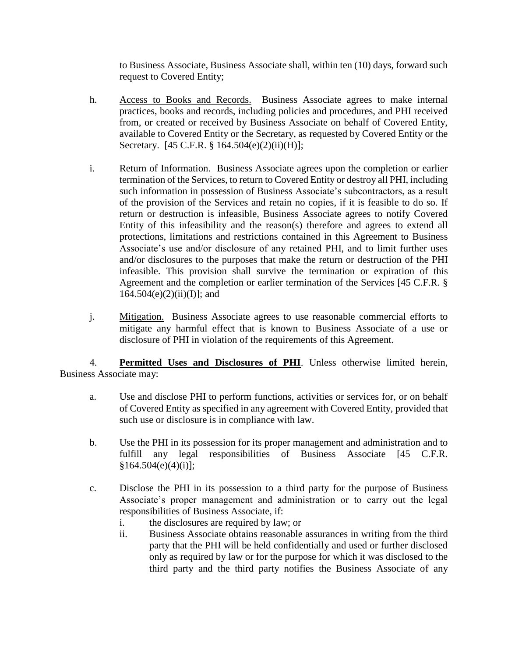to Business Associate, Business Associate shall, within ten (10) days, forward such request to Covered Entity;

- h. Access to Books and Records. Business Associate agrees to make internal practices, books and records, including policies and procedures, and PHI received from, or created or received by Business Associate on behalf of Covered Entity, available to Covered Entity or the Secretary, as requested by Covered Entity or the Secretary. [45 C.F.R. § 164.504(e)(2)(ii)(H)];
- i. Return of Information. Business Associate agrees upon the completion or earlier termination of the Services, to return to Covered Entity or destroy all PHI, including such information in possession of Business Associate's subcontractors, as a result of the provision of the Services and retain no copies, if it is feasible to do so. If return or destruction is infeasible, Business Associate agrees to notify Covered Entity of this infeasibility and the reason(s) therefore and agrees to extend all protections, limitations and restrictions contained in this Agreement to Business Associate's use and/or disclosure of any retained PHI, and to limit further uses and/or disclosures to the purposes that make the return or destruction of the PHI infeasible. This provision shall survive the termination or expiration of this Agreement and the completion or earlier termination of the Services [45 C.F.R. §  $164.504(e)(2)(ii)(I);$  and
- j. Mitigation. Business Associate agrees to use reasonable commercial efforts to mitigate any harmful effect that is known to Business Associate of a use or disclosure of PHI in violation of the requirements of this Agreement.

4. **Permitted Uses and Disclosures of PHI**. Unless otherwise limited herein, Business Associate may:

- a. Use and disclose PHI to perform functions, activities or services for, or on behalf of Covered Entity as specified in any agreement with Covered Entity, provided that such use or disclosure is in compliance with law.
- b. Use the PHI in its possession for its proper management and administration and to fulfill any legal responsibilities of Business Associate [45 C.F.R.  $§164.504(e)(4)(i);$
- c. Disclose the PHI in its possession to a third party for the purpose of Business Associate's proper management and administration or to carry out the legal responsibilities of Business Associate, if:
	- i. the disclosures are required by law; or
	- ii. Business Associate obtains reasonable assurances in writing from the third party that the PHI will be held confidentially and used or further disclosed only as required by law or for the purpose for which it was disclosed to the third party and the third party notifies the Business Associate of any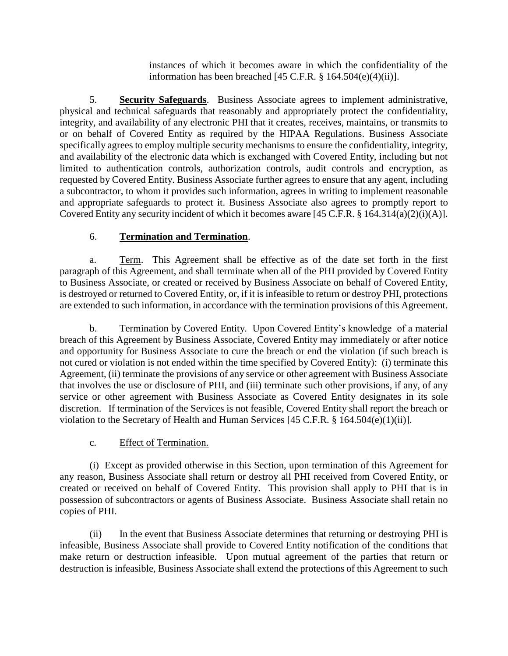instances of which it becomes aware in which the confidentiality of the information has been breached  $[45 \text{ C.F.R.} \$ § 164.504 $(e)(4)(ii)$ ].

5. **Security Safeguards**. Business Associate agrees to implement administrative, physical and technical safeguards that reasonably and appropriately protect the confidentiality, integrity, and availability of any electronic PHI that it creates, receives, maintains, or transmits to or on behalf of Covered Entity as required by the HIPAA Regulations. Business Associate specifically agrees to employ multiple security mechanisms to ensure the confidentiality, integrity, and availability of the electronic data which is exchanged with Covered Entity, including but not limited to authentication controls, authorization controls, audit controls and encryption, as requested by Covered Entity. Business Associate further agrees to ensure that any agent, including a subcontractor, to whom it provides such information, agrees in writing to implement reasonable and appropriate safeguards to protect it. Business Associate also agrees to promptly report to Covered Entity any security incident of which it becomes aware [45 C.F.R. § 164.314(a)(2)(i)(A)].

## 6. **Termination and Termination**.

a. Term. This Agreement shall be effective as of the date set forth in the first paragraph of this Agreement, and shall terminate when all of the PHI provided by Covered Entity to Business Associate, or created or received by Business Associate on behalf of Covered Entity, is destroyed or returned to Covered Entity, or, if it is infeasible to return or destroy PHI, protections are extended to such information, in accordance with the termination provisions of this Agreement.

b. Termination by Covered Entity. Upon Covered Entity's knowledge of a material breach of this Agreement by Business Associate, Covered Entity may immediately or after notice and opportunity for Business Associate to cure the breach or end the violation (if such breach is not cured or violation is not ended within the time specified by Covered Entity): (i) terminate this Agreement, (ii) terminate the provisions of any service or other agreement with Business Associate that involves the use or disclosure of PHI, and (iii) terminate such other provisions, if any, of any service or other agreement with Business Associate as Covered Entity designates in its sole discretion. If termination of the Services is not feasible, Covered Entity shall report the breach or violation to the Secretary of Health and Human Services [45 C.F.R. § 164.504(e)(1)(ii)].

### c. Effect of Termination.

(i) Except as provided otherwise in this Section, upon termination of this Agreement for any reason, Business Associate shall return or destroy all PHI received from Covered Entity, or created or received on behalf of Covered Entity. This provision shall apply to PHI that is in possession of subcontractors or agents of Business Associate. Business Associate shall retain no copies of PHI.

(ii) In the event that Business Associate determines that returning or destroying PHI is infeasible, Business Associate shall provide to Covered Entity notification of the conditions that make return or destruction infeasible. Upon mutual agreement of the parties that return or destruction is infeasible, Business Associate shall extend the protections of this Agreement to such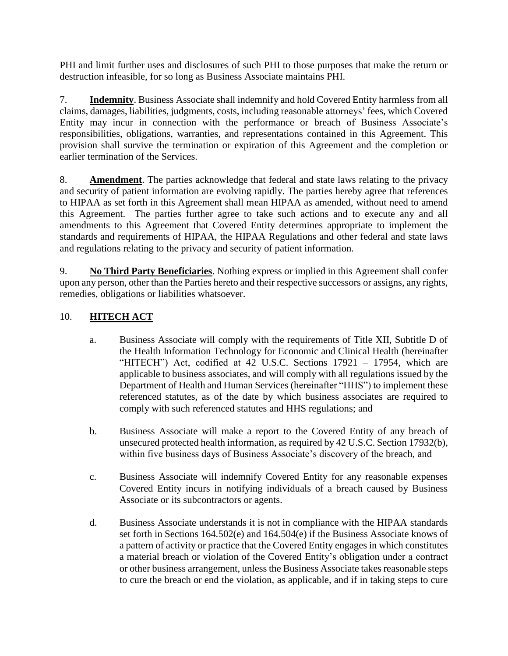PHI and limit further uses and disclosures of such PHI to those purposes that make the return or destruction infeasible, for so long as Business Associate maintains PHI.

7. **Indemnity**. Business Associate shall indemnify and hold Covered Entity harmless from all claims, damages, liabilities, judgments, costs, including reasonable attorneys' fees, which Covered Entity may incur in connection with the performance or breach of Business Associate's responsibilities, obligations, warranties, and representations contained in this Agreement. This provision shall survive the termination or expiration of this Agreement and the completion or earlier termination of the Services.

8. **Amendment**. The parties acknowledge that federal and state laws relating to the privacy and security of patient information are evolving rapidly. The parties hereby agree that references to HIPAA as set forth in this Agreement shall mean HIPAA as amended, without need to amend this Agreement. The parties further agree to take such actions and to execute any and all amendments to this Agreement that Covered Entity determines appropriate to implement the standards and requirements of HIPAA, the HIPAA Regulations and other federal and state laws and regulations relating to the privacy and security of patient information.

9. **No Third Party Beneficiaries**. Nothing express or implied in this Agreement shall confer upon any person, other than the Parties hereto and their respective successors or assigns, any rights, remedies, obligations or liabilities whatsoever.

# 10. **HITECH ACT**

- a. Business Associate will comply with the requirements of Title XII, Subtitle D of the Health Information Technology for Economic and Clinical Health (hereinafter "HITECH") Act, codified at 42 U.S.C. Sections 17921 – 17954, which are applicable to business associates, and will comply with all regulations issued by the Department of Health and Human Services (hereinafter "HHS") to implement these referenced statutes, as of the date by which business associates are required to comply with such referenced statutes and HHS regulations; and
- b. Business Associate will make a report to the Covered Entity of any breach of unsecured protected health information, as required by 42 U.S.C. Section 17932(b), within five business days of Business Associate's discovery of the breach, and
- c. Business Associate will indemnify Covered Entity for any reasonable expenses Covered Entity incurs in notifying individuals of a breach caused by Business Associate or its subcontractors or agents.
- d. Business Associate understands it is not in compliance with the HIPAA standards set forth in Sections 164.502(e) and 164.504(e) if the Business Associate knows of a pattern of activity or practice that the Covered Entity engages in which constitutes a material breach or violation of the Covered Entity's obligation under a contract or other business arrangement, unless the Business Associate takes reasonable steps to cure the breach or end the violation, as applicable, and if in taking steps to cure